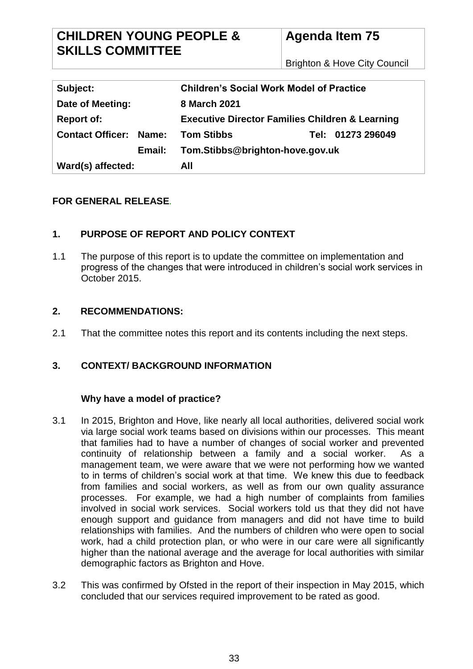Brighton & Hove City Council

| Subject:                      | <b>Children's Social Work Model of Practice</b>            |                   |
|-------------------------------|------------------------------------------------------------|-------------------|
| Date of Meeting:              | 8 March 2021                                               |                   |
| <b>Report of:</b>             | <b>Executive Director Families Children &amp; Learning</b> |                   |
| <b>Contact Officer: Name:</b> | <b>Tom Stibbs</b>                                          | Tel: 01273 296049 |
| Email:                        | Tom.Stibbs@brighton-hove.gov.uk                            |                   |
| Ward(s) affected:             | All                                                        |                   |

## **FOR GENERAL RELEASE***.*

## **1. PURPOSE OF REPORT AND POLICY CONTEXT**

1.1 The purpose of this report is to update the committee on implementation and progress of the changes that were introduced in children's social work services in October 2015.

## **2. RECOMMENDATIONS:**

2.1 That the committee notes this report and its contents including the next steps.

## **3. CONTEXT/ BACKGROUND INFORMATION**

## **Why have a model of practice?**

- 3.1 In 2015, Brighton and Hove, like nearly all local authorities, delivered social work via large social work teams based on divisions within our processes. This meant that families had to have a number of changes of social worker and prevented continuity of relationship between a family and a social worker. As a management team, we were aware that we were not performing how we wanted to in terms of children's social work at that time. We knew this due to feedback from families and social workers, as well as from our own quality assurance processes. For example, we had a high number of complaints from families involved in social work services. Social workers told us that they did not have enough support and guidance from managers and did not have time to build relationships with families. And the numbers of children who were open to social work, had a child protection plan, or who were in our care were all significantly higher than the national average and the average for local authorities with similar demographic factors as Brighton and Hove.
- 3.2 This was confirmed by Ofsted in the report of their inspection in May 2015, which concluded that our services required improvement to be rated as good.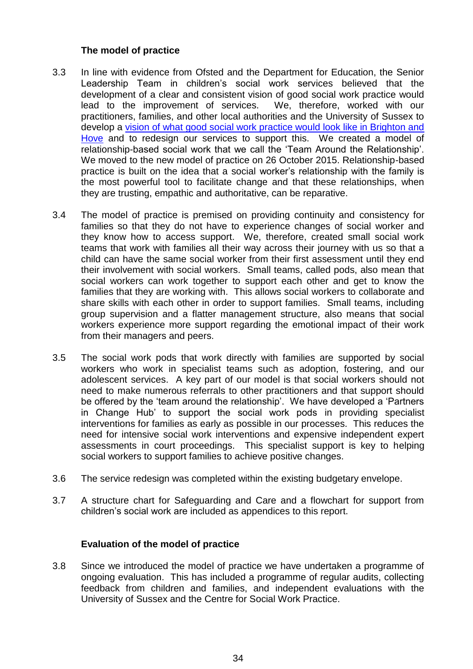## **The model of practice**

- 3.3 In line with evidence from Ofsted and the Department for Education, the Senior Leadership Team in children's social work services believed that the development of a clear and consistent vision of good social work practice would lead to the improvement of services. We, therefore, worked with our practitioners, families, and other local authorities and the University of Sussex to develop a [vision of what good social work practice would look like in Brighton and](https://www.brighton-hove.gov.uk/sites/default/files/migrated/article/inline/Social%20Work%20-%20Brighton%20and%20Hove%27s%20Vision.pdf)  [Hove](https://www.brighton-hove.gov.uk/sites/default/files/migrated/article/inline/Social%20Work%20-%20Brighton%20and%20Hove%27s%20Vision.pdf) and to redesign our services to support this. We created a model of relationship-based social work that we call the 'Team Around the Relationship'. We moved to the new model of practice on 26 October 2015. Relationship-based practice is built on the idea that a social worker's relationship with the family is the most powerful tool to facilitate change and that these relationships, when they are trusting, empathic and authoritative, can be reparative.
- 3.4 The model of practice is premised on providing continuity and consistency for families so that they do not have to experience changes of social worker and they know how to access support. We, therefore, created small social work teams that work with families all their way across their journey with us so that a child can have the same social worker from their first assessment until they end their involvement with social workers. Small teams, called pods, also mean that social workers can work together to support each other and get to know the families that they are working with. This allows social workers to collaborate and share skills with each other in order to support families. Small teams, including group supervision and a flatter management structure, also means that social workers experience more support regarding the emotional impact of their work from their managers and peers.
- 3.5 The social work pods that work directly with families are supported by social workers who work in specialist teams such as adoption, fostering, and our adolescent services. A key part of our model is that social workers should not need to make numerous referrals to other practitioners and that support should be offered by the 'team around the relationship'. We have developed a 'Partners in Change Hub' to support the social work pods in providing specialist interventions for families as early as possible in our processes. This reduces the need for intensive social work interventions and expensive independent expert assessments in court proceedings. This specialist support is key to helping social workers to support families to achieve positive changes.
- 3.6 The service redesign was completed within the existing budgetary envelope.
- 3.7 A structure chart for Safeguarding and Care and a flowchart for support from children's social work are included as appendices to this report.

#### **Evaluation of the model of practice**

3.8 Since we introduced the model of practice we have undertaken a programme of ongoing evaluation. This has included a programme of regular audits, collecting feedback from children and families, and independent evaluations with the University of Sussex and the Centre for Social Work Practice.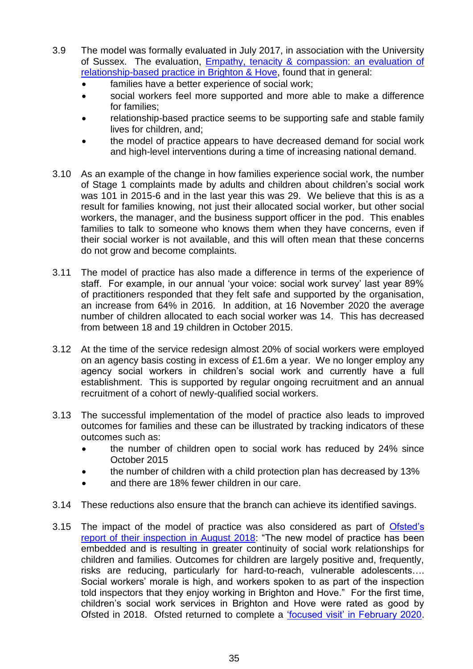- 3.9 The model was formally evaluated in July 2017, in association with the University of Sussex. The evaluation, [Empathy, tenacity & compassion: an evaluation of](https://www.brighton-hove.gov.uk/sites/brighton-hove.gov.uk/files/Evaluation%20of%20relationship-based%20practice%20in%20BHCC%20July%202017.pdf)  [relationship-based practice in Brighton & Hove,](https://www.brighton-hove.gov.uk/sites/brighton-hove.gov.uk/files/Evaluation%20of%20relationship-based%20practice%20in%20BHCC%20July%202017.pdf) found that in general:
	- families have a better experience of social work;
	- social workers feel more supported and more able to make a difference for families;
	- relationship-based practice seems to be supporting safe and stable family lives for children, and;
	- the model of practice appears to have decreased demand for social work and high-level interventions during a time of increasing national demand.
- 3.10 As an example of the change in how families experience social work, the number of Stage 1 complaints made by adults and children about children's social work was 101 in 2015-6 and in the last year this was 29. We believe that this is as a result for families knowing, not just their allocated social worker, but other social workers, the manager, and the business support officer in the pod. This enables families to talk to someone who knows them when they have concerns, even if their social worker is not available, and this will often mean that these concerns do not grow and become complaints.
- 3.11 The model of practice has also made a difference in terms of the experience of staff. For example, in our annual 'your voice: social work survey' last year 89% of practitioners responded that they felt safe and supported by the organisation, an increase from 64% in 2016. In addition, at 16 November 2020 the average number of children allocated to each social worker was 14. This has decreased from between 18 and 19 children in October 2015.
- 3.12 At the time of the service redesign almost 20% of social workers were employed on an agency basis costing in excess of £1.6m a year. We no longer employ any agency social workers in children's social work and currently have a full establishment. This is supported by regular ongoing recruitment and an annual recruitment of a cohort of newly-qualified social workers.
- 3.13 The successful implementation of the model of practice also leads to improved outcomes for families and these can be illustrated by tracking indicators of these outcomes such as:
	- the number of children open to social work has reduced by 24% since October 2015
	- the number of children with a child protection plan has decreased by 13%
	- and there are 18% fewer children in our care.
- 3.14 These reductions also ensure that the branch can achieve its identified savings.
- 3.15 The impact of the model of practice was also considered as part of [Ofsted's](https://files.ofsted.gov.uk/v1/file/50014166)  [report of their inspection in August 2018:](https://files.ofsted.gov.uk/v1/file/50014166) "The new model of practice has been embedded and is resulting in greater continuity of social work relationships for children and families. Outcomes for children are largely positive and, frequently, risks are reducing, particularly for hard-to-reach, vulnerable adolescents…. Social workers' morale is high, and workers spoken to as part of the inspection told inspectors that they enjoy working in Brighton and Hove." For the first time, children's social work services in Brighton and Hove were rated as good by Ofsted in 2018. Ofsted returned to complete a ['focused visit' in February 2020.](https://files.ofsted.gov.uk/v1/file/50149626)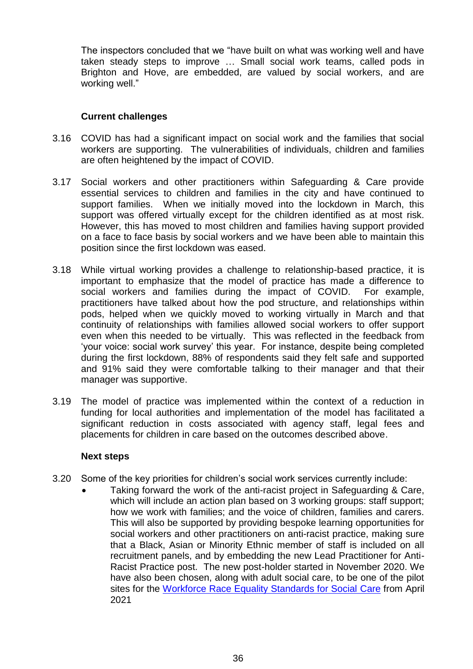The inspectors concluded that we "have built on what was working well and have taken steady steps to improve … Small social work teams, called pods in Brighton and Hove, are embedded, are valued by social workers, and are working well."

### **Current challenges**

- 3.16 COVID has had a significant impact on social work and the families that social workers are supporting. The vulnerabilities of individuals, children and families are often heightened by the impact of COVID.
- 3.17 Social workers and other practitioners within Safeguarding & Care provide essential services to children and families in the city and have continued to support families. When we initially moved into the lockdown in March, this support was offered virtually except for the children identified as at most risk. However, this has moved to most children and families having support provided on a face to face basis by social workers and we have been able to maintain this position since the first lockdown was eased.
- 3.18 While virtual working provides a challenge to relationship-based practice, it is important to emphasize that the model of practice has made a difference to social workers and families during the impact of COVID. For example, practitioners have talked about how the pod structure, and relationships within pods, helped when we quickly moved to working virtually in March and that continuity of relationships with families allowed social workers to offer support even when this needed to be virtually. This was reflected in the feedback from 'your voice: social work survey' this year. For instance, despite being completed during the first lockdown, 88% of respondents said they felt safe and supported and 91% said they were comfortable talking to their manager and that their manager was supportive.
- 3.19 The model of practice was implemented within the context of a reduction in funding for local authorities and implementation of the model has facilitated a significant reduction in costs associated with agency staff, legal fees and placements for children in care based on the outcomes described above.

#### **Next steps**

- 3.20 Some of the key priorities for children's social work services currently include:
	- Taking forward the work of the anti-racist project in Safeguarding & Care, which will include an action plan based on 3 working groups: staff support; how we work with families; and the voice of children, families and carers. This will also be supported by providing bespoke learning opportunities for social workers and other practitioners on anti-racist practice, making sure that a Black, Asian or Minority Ethnic member of staff is included on all recruitment panels, and by embedding the new Lead Practitioner for Anti-Racist Practice post. The new post-holder started in November 2020. We have also been chosen, along with adult social care, to be one of the pilot sites for the [Workforce Race Equality Standards for Social](https://socialcare.blog.gov.uk/2020/12/16/respecting-diversity-in-social-care-we-must-do-better/) Care from April 2021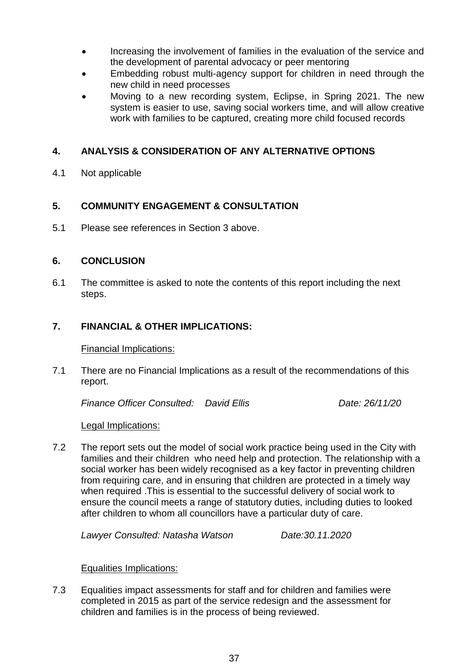- Increasing the involvement of families in the evaluation of the service and the development of parental advocacy or peer mentoring
- Embedding robust multi-agency support for children in need through the new child in need processes
- Moving to a new recording system, Eclipse, in Spring 2021. The new system is easier to use, saving social workers time, and will allow creative work with families to be captured, creating more child focused records

## **4. ANALYSIS & CONSIDERATION OF ANY ALTERNATIVE OPTIONS**

4.1 Not applicable

# **5. COMMUNITY ENGAGEMENT & CONSULTATION**

5.1 Please see references in Section 3 above.

## **6. CONCLUSION**

6.1 The committee is asked to note the contents of this report including the next steps.

## **7. FINANCIAL & OTHER IMPLICATIONS:**

#### Financial Implications:

7.1 There are no Financial Implications as a result of the recommendations of this report.

*Finance Officer Consulted: David Ellis Date: 26/11/20*

## Legal Implications:

7.2 The report sets out the model of social work practice being used in the City with families and their children who need help and protection. The relationship with a social worker has been widely recognised as a key factor in preventing children from requiring care, and in ensuring that children are protected in a timely way when required .This is essential to the successful delivery of social work to ensure the council meets a range of statutory duties, including duties to looked after children to whom all councillors have a particular duty of care.

*Lawyer Consulted: Natasha Watson Date:30.11.2020*

## Equalities Implications:

7.3 Equalities impact assessments for staff and for children and families were completed in 2015 as part of the service redesign and the assessment for children and families is in the process of being reviewed.